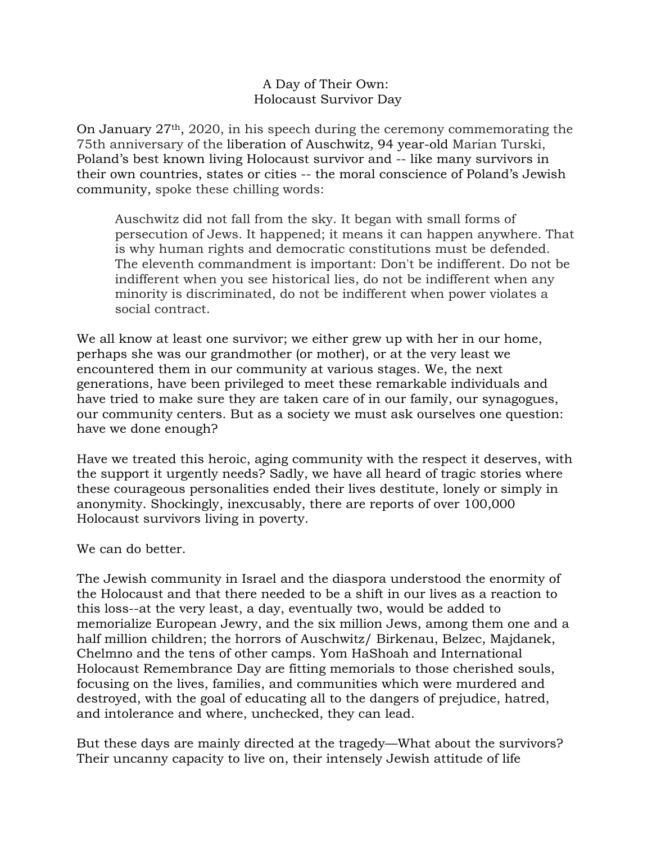## A Day of Their Own: Holocaust Survivor Day

On January  $27<sup>th</sup>$ , 2020, in his speech during the ceremony commemorating the 75th anniversary of the liberation of Auschwitz, 94 year-old Marian Turski, Poland's best known living Holocaust survivor and -- like many survivors in their own countries, states or cities -- the moral conscience of Poland's Jewish community, spoke these chilling words:

Auschwitz did not fall from the sky. It began with small forms of persecution of Jews. It happened; it means it can happen anywhere. That is why human rights and democratic constitutions must be defended. The eleventh commandment is important: Don't be indifferent. Do not be indifferent when you see historical lies, do not be indifferent when any minority is discriminated, do not be indifferent when power violates a social contract.

We all know at least one survivor; we either grew up with her in our home, perhaps she was our grandmother (or mother), or at the very least we encountered them in our community at various stages. We, the next generations, have been privileged to meet these remarkable individuals and have tried to make sure they are taken care of in our family, our synagogues, our community centers. But as a society we must ask ourselves one question: have we done enough?

Have we treated this heroic, aging community with the respect it deserves, with the support it urgently needs? Sadly, we have all heard of tragic stories where these courageous personalities ended their lives destitute, lonely or simply in anonymity. Shockingly, inexcusably, there are reports of over 100,000 Holocaust survivors living in poverty.

We can do better.

The Jewish community in Israel and the diaspora understood the enormity of the Holocaust and that there needed to be a shift in our lives as a reaction to this loss--at the very least, a day, eventually two, would be added to memorialize European Jewry, and the six million Jews, among them one and a half million children; the horrors of Auschwitz/ Birkenau, Belzec, Majdanek, Chelmno and the tens of other camps. Yom HaShoah and International Holocaust Remembrance Day are fitting memorials to those cherished souls, focusing on the lives, families, and communities which were murdered and destroyed, with the goal of educating all to the dangers of prejudice, hatred, and intolerance and where, unchecked, they can lead.

But these days are mainly directed at the tragedy—What about the survivors? Their uncanny capacity to live on, their intensely Jewish attitude of life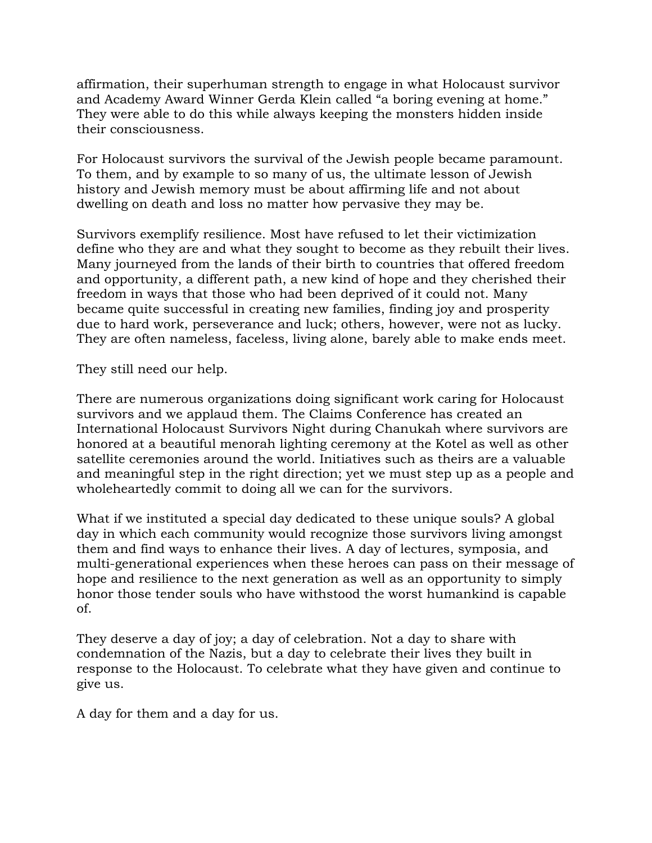affirmation, their superhuman strength to engage in what Holocaust survivor and Academy Award Winner Gerda Klein called "a boring evening at home." They were able to do this while always keeping the monsters hidden inside their consciousness.

For Holocaust survivors the survival of the Jewish people became paramount. To them, and by example to so many of us, the ultimate lesson of Jewish history and Jewish memory must be about affirming life and not about dwelling on death and loss no matter how pervasive they may be.

Survivors exemplify resilience. Most have refused to let their victimization define who they are and what they sought to become as they rebuilt their lives. Many journeyed from the lands of their birth to countries that offered freedom and opportunity, a different path, a new kind of hope and they cherished their freedom in ways that those who had been deprived of it could not. Many became quite successful in creating new families, finding joy and prosperity due to hard work, perseverance and luck; others, however, were not as lucky. They are often nameless, faceless, living alone, barely able to make ends meet.

They still need our help.

There are numerous organizations doing significant work caring for Holocaust survivors and we applaud them. The Claims Conference has created an International Holocaust Survivors Night during Chanukah where survivors are honored at a beautiful menorah lighting ceremony at the Kotel as well as other satellite ceremonies around the world. Initiatives such as theirs are a valuable and meaningful step in the right direction; yet we must step up as a people and wholeheartedly commit to doing all we can for the survivors.

What if we instituted a special day dedicated to these unique souls? A global day in which each community would recognize those survivors living amongst them and find ways to enhance their lives. A day of lectures, symposia, and multi-generational experiences when these heroes can pass on their message of hope and resilience to the next generation as well as an opportunity to simply honor those tender souls who have withstood the worst humankind is capable of.

They deserve a day of joy; a day of celebration. Not a day to share with condemnation of the Nazis, but a day to celebrate their lives they built in response to the Holocaust. To celebrate what they have given and continue to give us.

A day for them and a day for us.